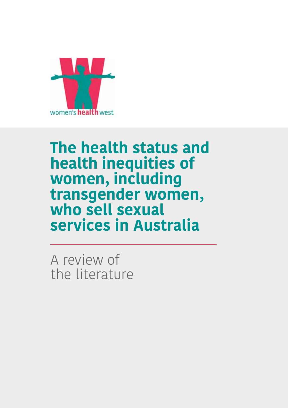

## **The health status and health inequities of women, including transgender women, who sell sexual services in Australia**

A review of the literature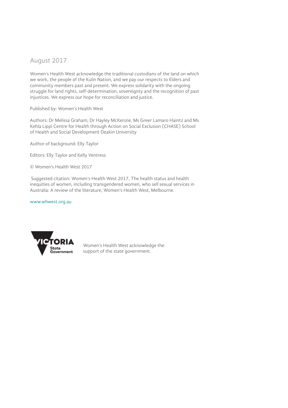#### August 2017

Women's Health West acknowledge the traditional custodians of the land on which we work, the people of the Kulin Nation, and we pay our respects to Elders and community members past and present. We express solidarity with the ongoing struggle for land rights, self-determination, sovereignty and the recognition of past injustices. We express our hope for reconciliation and justice.

Published by: Women's Health West

Authors: Dr Melissa Graham, Dr Hayley McKenzie, Ms Greer Lamaro Haintz and Ms Kehla Lippi Centre for Health through Action on Social Exclusion (CHASE) School of Health and Social Development Deakin University

Author of background: Elly Taylor

Editors: Elly Taylor and Kelly Ventress

© Women's Health West 2017

 Suggested citation: Women's Health West 2017, The health status and health inequities of women, including transgendered women, who sell sexual services in Australia: A review of the literature, Women's Health West, Melbourne.

www.whwest.org.au



Women's Health West acknowledge the support of the state government.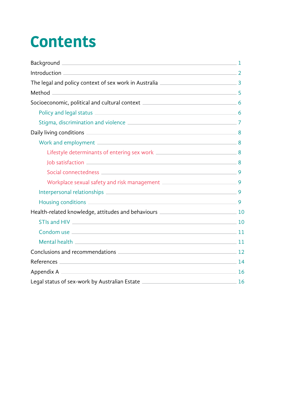# **Contents**

| Background 1                                                       |  |
|--------------------------------------------------------------------|--|
|                                                                    |  |
|                                                                    |  |
|                                                                    |  |
|                                                                    |  |
|                                                                    |  |
|                                                                    |  |
|                                                                    |  |
|                                                                    |  |
|                                                                    |  |
| Job satisfaction 8                                                 |  |
|                                                                    |  |
|                                                                    |  |
|                                                                    |  |
|                                                                    |  |
|                                                                    |  |
|                                                                    |  |
|                                                                    |  |
|                                                                    |  |
| Conclusions and recommendations 2000 12                            |  |
| References 14                                                      |  |
|                                                                    |  |
| Legal status of sex-work by Australian Estate 2008 2014 16 2014 16 |  |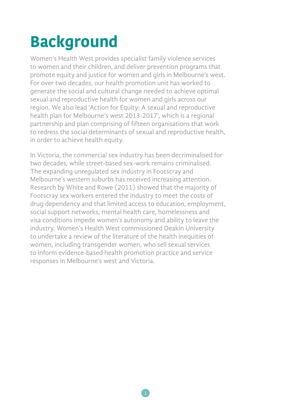# **Background**

Women's Health West provides specialist family violence services to women and their children, and deliver prevention programs that promote equity and justice for women and girls in Melbourne's west. For over two decades, our health promotion unit has worked to generate the social and cultural change needed to achieve optimal sexual and reproductive health for women and girls across our region. We also lead 'Action for Equity: A sexual and reproductive health plan for Melbourne's west 2013-2017', which is a regional partnership and plan comprising of fifteen organisations that work to redress the social determinants of sexual and reproductive health, in order to achieve health equity.

In Victoria, the commercial sex industry has been decriminalised for two decades, while street-based sex-work remains criminalised. The expanding unregulated sex industry in Footscray and Melbourne's western suburbs has received increasing attention. Research by White and Rowe (2011) showed that the majority of Footscray sex workers entered the industry to meet the costs of drug dependency and that limited access to education, employment, social support networks, mental health care, homelessness and visa conditions impede women's autonomy and ability to leave the industry. Women's Health West commissioned Deakin University to undertake a review of the literature of the health inequities of women, including transgender women, who sell sexual services to inform evidence-based health promotion practice and service responses in Melbourne's west and Victoria.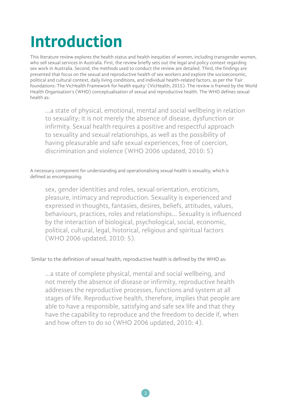# **Introduction**

This literature review explores the health status and health inequities of women, including transgender women, who sell sexual services in Australia. First, the review briefly sets out the legal and policy context regarding sex work in Australia. Second, the methods used to conduct the review are detailed. Third, the findings are presented that focus on the sexual and reproductive health of sex workers and explore the socioeconomic, political and cultural context, daily living conditions, and individual health-related factors, as per the 'Fair foundations: The VicHealth Framework for health equity' (VicHealth, 2015). The review is framed by the World Health Organisation's (WHO) conceptualisation of sexual and reproductive health. The WHO defines sexual health as:

…a state of physical, emotional, mental and social wellbeing in relation to sexuality; it is not merely the absence of disease, dysfunction or infirmity. Sexual health requires a positive and respectful approach to sexuality and sexual relationships, as well as the possibility of having pleasurable and safe sexual experiences, free of coercion, discrimination and violence (WHO 2006 updated, 2010: 5)

A necessary component for understanding and operationalising sexual health is sexuality, which is defined as encompassing:

sex, gender identities and roles, sexual orientation, eroticism, pleasure, intimacy and reproduction. Sexuality is experienced and expressed in thoughts, fantasies, desires, beliefs, attitudes, values, behaviours, practices, roles and relationships… Sexuality is influenced by the interaction of biological, psychological, social, economic, political, cultural, legal, historical, religious and spiritual factors (WHO 2006 updated, 2010: 5).

#### Similar to the definition of sexual health, reproductive health is defined by the WHO as:

…a state of complete physical, mental and social wellbeing, and not merely the absence of disease or infirmity, reproductive health addresses the reproductive processes, functions and system at all stages of life. Reproductive health, therefore, implies that people are able to have a responsible, satisfying and safe sex life and that they have the capability to reproduce and the freedom to decide if, when and how often to do so (WHO 2006 updated, 2010: 4).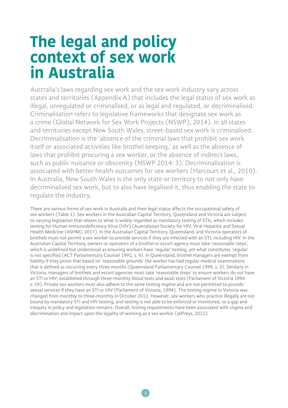## **The legal and policy context of sex work in Australia**

Australia's laws regarding sex work and the sex work industry vary across states and territories (Appendix A) that includes the legal status of sex work as illegal, unregulated or criminalised, or as legal and regulated, or decriminalised. Criminalisation refers to legislative frameworks that designate sex work as a crime (Global Network for Sex Work Projects (NSWP), 2014). In all states and territories except New South Wales, street-based sex work is criminalised. Decriminalisation is the 'absence of the criminal laws that prohibit sex work itself or associated activities like brothel keeping,' as well as the absence of laws that prohibit procuring a sex worker, or the absence of indirect laws, such as public nuisance or obscenity (NSWP 2014: 3). Decriminalisation is associated with better health outcomes for sex workers (Harcourt et al., 2010). In Australia, New South Wales is the only state or territory to not only have decriminalised sex work, but to also have legalised it, thus enabling the state to regulate the industry.

There are various forms of sex work in Australia and their legal status affects the occupational safety of sex workers (Table 1). Sex workers in the Australian Capital Territory, Queensland and Victoria are subject to varying legislation that relates to what is widely regarded as mandatory testing of STIs, which includes testing for Human Immunodeficiency Virus (HIV) (Australasian Society for HIV, Viral Hepatitis and Sexual Health Medicine (ASHM), 2017). In the Australian Capital Territory, Queensland, and Victoria operators of brothels must not permit a sex worker to provide services if they are infected with an STI, including HIV. In the Australian Capital Territory, owners or operators of a brothel or escort agency must take 'reasonable steps', which is undefined but understood as ensuring workers have 'regular' testing, yet what constitutes 'regular' is not specified (ACT Parliamentary Counsel 1992, s. 9). In Queensland, brothel managers are exempt from liability if they prove that based on 'reasonable grounds' the worker has had regular medical examinations that is defined as occurring every three months (Queensland Parliamentary Counsel 1999, s. 3). Similarly in Victoria, managers of brothels and escort agencies must take 'reasonable steps' to ensure workers do not have an STI or HIV, established through three-monthly blood tests and swab tests (Parliament of Victoria 1994 s. 19). Private sex workers must also adhere to the same testing regime and are not permitted to provide sexual services if they have an STI or HIV (Parliament of Victoria, 1994). The testing regime in Victoria was changed from monthly to three-monthly in October 2012. However, sex workers who practice illegally are not bound by mandatory STI and HIV testing, and testing is not able to be enforced or monitored, so a gap and inequity in policy and legislation remains. Overall, testing requirements have been associated with stigma and discrimination and impact upon the legality of working as a sex worker (Jeffreys, 2012).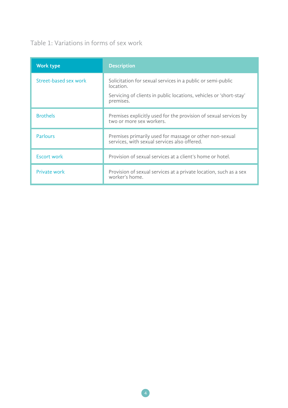#### Table 1: Variations in forms of sex work

| <b>Work type</b>      | <b>Description</b>                                                                                                                                          |
|-----------------------|-------------------------------------------------------------------------------------------------------------------------------------------------------------|
| Street-based sex work | Solicitation for sexual services in a public or semi-public<br>location.<br>Servicing of clients in public locations, vehicles or 'short-stay'<br>premises. |
| <b>Brothels</b>       | Premises explicitly used for the provision of sexual services by<br>two or more sex workers.                                                                |
| <b>Parlours</b>       | Premises primarily used for massage or other non-sexual<br>services, with sexual services also offered.                                                     |
| <b>Escort work</b>    | Provision of sexual services at a client's home or hotel.                                                                                                   |
| Private work          | Provision of sexual services at a private location, such as a sex<br>worker's home.                                                                         |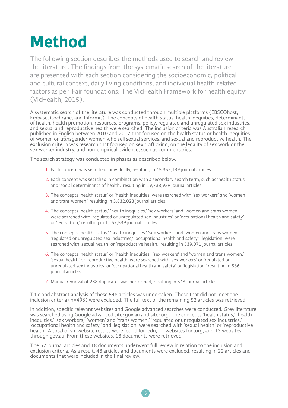# **Method**

The following section describes the methods used to search and review the literature. The findings from the systematic search of the literature are presented with each section considering the socioeconomic, political and cultural context, daily living conditions, and individual health-related factors as per 'Fair foundations: The VicHealth Framework for health equity' (VicHealth, 2015).

A systematic search of the literature was conducted through multiple platforms (EBSCOhost, Embase, Cochrane, and Informit). The concepts of health status, health inequities, determinants of health, health promotion, resources, programs, policy, regulated and unregulated sex industries, and sexual and reproductive health were searched. The inclusion criteria was Australian research published in English between 2010 and 2017 that focused on the health status or health inequities of women or transgender women who sell sexual services, and sexual and reproductive health. The exclusion criteria was research that focused on sex trafficking, on the legality of sex work or the sex worker industry, and non-empirical evidence, such as commentaries.

The search strategy was conducted in phases as described below.

- 1. Each concept was searched individually, resulting in 45,355,139 journal articles.
- 2. Each concept was searched in combination with a secondary search term, such as 'health status' and 'social determinants of health,' resulting in 19,733,959 journal articles.
- 3. The concepts 'health status' or 'health inequities' were searched with 'sex workers' and 'women and trans women,' resulting in 3,832,023 journal articles.
- 4. The concepts 'health status,' 'health inequities,' 'sex workers' and 'women and trans women' were searched with 'regulated or unregulated sex industries' or 'occupational health and safety' or 'legislation,' resulting in 1,157,539 journal articles.
- 5. The concepts 'health status,' 'health inequities,' 'sex workers' and 'women and trans women,' 'regulated or unregulated sex industries,' 'occupational health and safety,' 'legislation' were searched with 'sexual health' or 'reproductive health,' resulting in 539,071 journal articles.
- 6. The concepts 'health status' or 'health inequities,' 'sex workers' and 'women and trans women,' 'sexual health' or 'reproductive health' were searched with 'sex workers' or 'regulated or unregulated sex industries' or 'occupational health and safety' or 'legislation,' resulting in 836 journal articles.
- 7. Manual removal of 288 duplicates was performed, resulting in 548 journal articles.

Title and abstract analysis of these 548 articles was undertaken. Those that did not meet the inclusion criteria (n=496) were excluded. The full text of the remaining 52 articles was retrieved.

In addition, specific relevant websites and Google advanced searches were conducted. Grey literature was searched using Google advanced site: gov.au and site: org. The concepts 'health status,' 'health inequities,' 'sex workers,' 'women' and 'trans women,' 'regulated or unregulated sex industries,' 'occupational health and safety,' and 'legislation' were searched with 'sexual health' or 'reproductive health.' A total of six website results were found for .edu, 11 websites for .org, and 13 websites through gov.au. From these websites, 18 documents were retrieved.

The 52 journal articles and 18 documents underwent full review in relation to the inclusion and exclusion criteria. As a result, 48 articles and documents were excluded, resulting in 22 articles and documents that were included in the final review.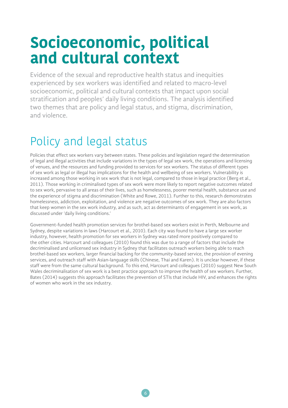## **Socioeconomic, political and cultural context**

Evidence of the sexual and reproductive health status and inequities experienced by sex workers was identified and related to macro-level socioeconomic, political and cultural contexts that impact upon social stratification and peoples' daily living conditions. The analysis identified two themes that are policy and legal status, and stigma, discrimination, and violence.

## Policy and legal status

Policies that effect sex workers vary between states. These policies and legislation regard the determination of legal and illegal activities that include variations in the types of legal sex work, the operations and licensing of venues, and the resources and funding provided to services for sex workers. The status of different types of sex work as legal or illegal has implications for the health and wellbeing of sex workers. Vulnerability is increased among those working in sex work that is not legal, compared to those in legal practice (Berg et al., 2011). Those working in criminalised types of sex work were more likely to report negative outcomes related to sex work, pervasive to all areas of their lives, such as homelessness, poorer mental health, substance use and the experience of stigma and discrimination (White and Rowe, 2011). Further to this, research demonstrates homelessness, addiction, exploitation, and violence are negative outcomes of sex work. They are also factors that keep women in the sex work industry, and as such, act as determinants of engagement in sex work, as discussed under 'daily living conditions.'

Government-funded health promotion services for brothel-based sex workers exist in Perth, Melbourne and Sydney, despite variations in laws (Harcourt et al., 2010). Each city was found to have a large sex worker industry, however, health promotion for sex workers in Sydney was rated more positively compared to the other cities. Harcourt and colleagues (2010) found this was due to a range of factors that include the decriminalised and unlicensed sex industry in Sydney that facilitates outreach workers being able to reach brothel-based sex workers, larger financial backing for the community-based service, the provision of evening services, and outreach staff with Asian-language skills (Chinese, Thai and Karen). It is unclear however, if these staff were from the same cultural background. To this end, Harcourt and colleagues (2010) suggest New South Wales decriminalisation of sex work is a best practice approach to improve the health of sex workers. Further, Bates (2014) suggests this approach facilitates the prevention of STIs that include HIV, and enhances the rights of women who work in the sex industry.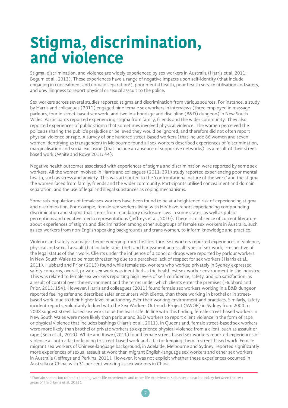## **Stigma, discrimination, and violence**

Stigma, discrimination, and violence are widely experienced by sex workers in Australia (Harris et al. 2011; Begum et al., 2013). These experiences have a range of negative impacts upon self-identity (that include engaging in concealment and domain separation<sup>1</sup>), poor mental health, poor health service utilisation and safety, and unwillingness to report physical or sexual assault to the police.

Sex workers across several studies reported stigma and discrimination from various sources. For instance, a study by Harris and colleagues (2011) engaged nine female sex workers in interviews (three employed in massage parlours, four in street-based sex work, and two in a bondage and discipline (B&D) dungeon) in New South Wales. Participants reported experiencing stigma from family, friends and the wider community. They also reported experiences of public stigma that sometimes involved physical violence. The women perceived the police as sharing the public's prejudice or believed they would be ignored, and therefore did not often report physical violence or rape. A survey of one hundred street-based workers (that include 86 women and seven women identifying as transgender) in Melbourne found all sex workers described experiences of 'discrimination, marginalisation and social exclusion (that include an absence of supportive networks)' as a result of their streetbased work (White and Rowe 2011: 44).

Negative health outcomes associated with experiences of stigma and discrimination were reported by some sex workers. All the women involved in Harris and colleagues (2011: 391) study reported experiencing poor mental health, such as stress and anxiety. This was attributed to the 'confrontational nature of the work' and the stigma the women faced from family, friends and the wider community. Participants utilised concealment and domain separation, and the use of legal and illegal substances as coping mechanisms.

Some sub-populations of female sex workers have been found to be at a heightened risk of experiencing stigma and discrimination. For example, female sex workers living with HIV have report experiencing compounding discrimination and stigma that stems from mandatory disclosure laws in some states, as well as public perceptions and negative media representations (Jeffreys et al., 2010). There is an absence of current literature about experiences of stigma and discrimination among other subgroups of female sex workers in Australia, such as sex workers from non-English speaking backgrounds and trans women, to inform knowledge and practice.

Violence and safety is a major theme emerging from the literature. Sex workers reported experiences of violence, physical and sexual assault that include rape, theft and harassment across all types of sex work, irrespective of the legal status of their work. Clients under the influence of alcohol or drugs were reported by parlour workers in New South Wales to be most threatening due to a perceived lack of respect for sex workers (Harris et al., 2011). Hubbard and Prior (2013) found while female sex workers who worked privately in Sydney expressed safety concerns, overall, private sex work was identified as the healthiest sex worker environment in the industry. This was related to female sex workers reporting high levels of self-confidence, safety, and job satisfaction, as a result of control over the environment and the terms under which clients enter the premises (Hubbard and Prior, 2013: 154). However, Harris and colleagues (2011) found female sex workers working in a B&D dungeon reported feeling safer and described safer encounters with clients, than those working in brothel or in streetbased work, due to their higher level of autonomy over their working environment and practices. Similarly, safety incident reports, voluntarily lodged with the Sex Workers Outreach Project (SWOP) in Sydney from 2000 to 2008 suggest street-based sex work to be the least safe. In line with this finding, female street-based workers in New South Wales were more likely than parlour and B&D workers to report client violence in the form of rape or physical violence that includes bashings (Harris et al., 2011). In Queensland, female street-based sex workers were more likely than brothel or private workers to experience physical violence from a client, such as assault or rape (Seib et al., 2010). White and Rowe (2011) found female street-based sex workers reported experiences of violence as both a factor leading to street-based work and a factor keeping them in street-based work. Female migrant sex workers of Chinese-language background, in Adelaide, Melbourne and Sydney, reported significantly more experiences of sexual assault at work than migrant English-language sex workers and other sex workers in Australia (Jeffreys and Perkins, 2011). However, it was not explicit whether these experiences occurred in Australia or China, with 31 per cent working as sex workers in China.

 $^{\rm 1}$  Domain separation refers to keeping work-life experiences and other life experiences separate; a clear boundary between the two areas of life (Harris et al. 2011).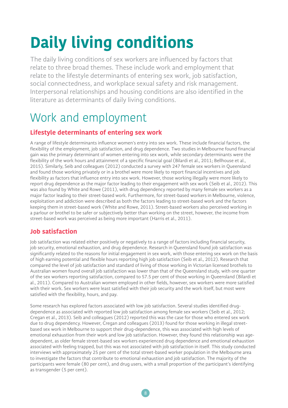# **Daily living conditions**

The daily living conditions of sex workers are influenced by factors that relate to three broad themes. These include work and employment that relate to the lifestyle determinants of entering sex work, job satisfaction, social connectedness, and workplace sexual safety and risk management. Interpersonal relationships and housing conditions are also identified in the literature as determinants of daily living conditions.

### Work and employment

#### **Lifestyle determinants of entering sex work**

A range of lifestyle determinants influence women's entry into sex work. These include financial factors, the flexibility of the employment, job satisfaction, and drug dependence. Two studies in Melbourne found financial gain was the primary determinant of women entering into sex work, while secondary determinants were the flexibility of the work hours and attainment of a specific financial goal (Bilardi et al., 2011; Bellhouse et al., 2015). Similarly, Seib and colleagues (2012) conducted a survey with 247 female sex workers in Queensland and found those working privately or in a brothel were more likely to report financial incentives and job flexibility as factors that influence entry into sex work. However, those working illegally were more likely to report drug dependence as the major factor leading to their engagement with sex work (Seib et al., 2012). This was also found by White and Rowe (2011), with drug dependency reported by many female sex workers as a major factor leading to their street-based work. Furthermore, for street-based workers in Melbourne, violence, exploitation and addiction were described as both the factors leading to street-based work and the factors keeping them in street-based work (White and Rowe, 2011). Street-based workers also perceived working in a parlour or brothel to be safer or subjectively better than working on the street, however, the income from street-based work was perceived as being more important (Harris et al., 2011).

#### **Job satisfaction**

Job satisfaction was related either positively or negatively to a range of factors including financial security, job security, emotional exhaustion, and drug dependence. Research in Queensland found job satisfaction was significantly related to the reasons for initial engagement in sex work, with those entering sex work on the basis of high earning potential and flexible hours reporting high job satisfaction (Seib et al., 2012). Research that compared the level of job satisfaction and standard of living of those working in Victorian licensed brothels to Australian women found overall job satisfaction was lower than that of the Queensland study, with one quarter of the sex workers reporting satisfaction, compared to 57.5 per cent of those working in Queensland (Bilardi et al., 2011). Compared to Australian women employed in other fields, however, sex workers were more satisfied with their work. Sex workers were least satisfied with their job security and the work itself, but most were satisfied with the flexibility, hours, and pay.

Some research has explored factors associated with low job satisfaction. Several studies identified drugdependence as associated with reported low job satisfaction among female sex workers (Seib et al., 2012; Cregan et al., 2013). Seib and colleagues (2012) reported this was the case for those who entered sex work due to drug dependency. However, Cregan and colleagues (2013) found for those working in illegal streetbased sex work in Melbourne to support their drug-dependence, this was associated with high levels of emotional exhaustion from their work and low job satisfaction. However, they found this relationship was agedependent, as older female street-based sex workers experienced drug dependence and emotional exhaustion associated with feeling trapped, but this was not associated with job satisfaction in itself. This study conducted interviews with approximately 25 per cent of the total street-based worker population in the Melbourne area to investigate the factors that contribute to emotional exhaustion and job satisfaction. The majority of the participants were female (80 per cent), and drug users, with a small proportion of the participant's identifying as transgender (5 per cent).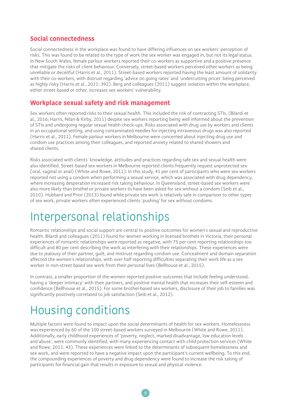#### **Social connectedness**

Social connectedness in the workplace was found to have differing influences on sex workers' perception of risks. This was found to be related to the type of work the sex worker was engaged in, but not its legal status. In New South Wales, female parlour workers reported their co-workers as supportive and a positive presence that mitigate the risks of client behaviour. Conversely, street-based workers perceived other workers as being unreliable or deceitful (Harris et al., 2011). Street-based workers reported having the least amount of solidarity with their co-workers, with distrust regarding 'advice on going rates' and 'undercutting prices' being perceived as highly risky (Harris et al., 2011: 392). Berg and colleagues (2011) suggest isolation within the workplace, either street-based or other, increases sex workers' vulnerability.

#### **Workplace sexual safety and risk management**

Sex workers often reported risks to their sexual health. This included the risk of contracting STIs, (Bilardi et al., 2016; Harris, Nilan & Kirby, 2011) despite sex workers reporting being well informed about the prevention of STIs and undergoing regular sexual health check-ups. Risks associated with drug use by workers and clients in an occupational setting, and using contaminated needles for injecting intravenous drugs was also reported (Harris et al., 2011). Female parlour workers in Melbourne were concerned about injecting drug use and condom use practices among their colleagues, and reported anxiety related to shared showers and shared clients.

Risks associated with clients' knowledge, attitudes and practices regarding safe sex and sexual health were also identified. Street-based sex workers in Melbourne reported clients frequently request unprotected sex (oral, vaginal or anal) (White and Rowe, 2011). In this study, 41 per cent of participants who were sex workers reported not using a condom when performing a sexual service, which was associated with drug dependency, where increasing desperation increased risk taking behaviour. In Queensland, street-based sex workers were also more likely than brothel or private workers to have been asked for sex without a condom (Seib et al., 2010). Hubbard and Prior (2013) found while private sex work is relatively safe in comparison to other types of sex work, private workers often experienced clients 'pushing' for sex without condoms.

### Interpersonal relationships

Romantic relationships and social support are central to positive outcomes for women's sexual and reproductive health. Bilardi and colleagues (2011) found for women working in licensed brothels in Victoria, their personal experiences of romantic relationships were reported as negative, with 75 per cent reporting relationships too difficult and 80 per cent describing the work as interfering with their relationships. These experiences were due to jealousy of their partner, guilt, and mistrust regarding condom use. Concealment and domain separation affected the women's relationships, with over half reporting difficulties separating their work life as a sex worker in non-street based sex work from their personal lives (Bellhouse et al., 2015).

In contrast, a smaller proportion of the women reported positive outcomes that include feeling understood, having a 'deeper intimacy' with their partners, and positive mental health that increases their self-esteem and confidence (Bellhouse et al., 2015). For some brothel-based sex workers, disclosure of their job to families was significantly positively correlated to job satisfaction (Seib et al., 2012).

### Housing conditions

Multiple factors were found to impact upon the social determinants of health for sex workers. Homelessness was experienced by 60 of the 100 street-based workers surveyed in Melbourne (White and Rowe, 2011). Additionally, early childhood experiences of 'poverty, neglect, marked disadvantage, low education levels and abuse', were commonly identified, with many experiencing contact with child protection services (White and Rowe, 2011: 43). These experiences were linked to the determinants of subsequent homelessness and sex work, and were reported to have a negative impact upon the participant's current wellbeing. To this end, the compounding experiences of poverty and drug dependency were found to increase the risk taking of participants for financial gain that results in exposure to sexual and physical violence.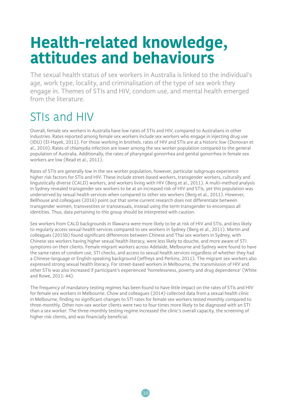## **Health-related knowledge, attitudes and behaviours**

The sexual health status of sex workers in Australia is linked to the individual's age, work type, locality, and criminalisation of the type of sex work they engage in. Themes of STIs and HIV, condom use, and mental health emerged from the literature.

### STIs and HIV

Overall, female sex workers in Australia have low rates of STIs and HIV, compared to Australians in other industries. Rates reported among female sex workers include sex workers who engage in injecting drug use (IDU) (El-Hayek, 2011). For those working in brothels, rates of HIV and STIs are at a historic low (Donovan et al., 2010). Rates of chlamydia infection are lower among the sex worker population compared to the general population of Australia. Additionally, the rates of pharyngeal gonorrhea and genital gonorrhea in female sex workers are low (Read et al., 2011).

Rates of STIs are generally low in the sex worker population, however, particular subgroups experience higher risk factors for STIs and HIV. These include street-based workers, transgender workers, culturally and linguistically diverse (CALD) workers, and workers living with HIV (Berg et al., 2011). A multi-method analysis in Sydney revealed transgender sex workers to be at an increased risk of HIV and STIs, yet this population was underserved by sexual health services when compared to other sex workers (Berg et al., 2011). However, Bellhouse and colleagues (2016) point out that some current research does not differentiate between transgender women, transvestites or transsexuals, instead using the term transgender to encompass all identities. Thus, data pertaining to this group should be interpreted with caution.

Sex workers from CALD backgrounds in Illawarra were more likely to be at risk of HIV and STIs, and less likely to regularly access sexual health services compared to sex workers in Sydney (Berg et al., 2011). Martin and colleagues (2015b) found significant differences between Chinese and Thai sex workers in Sydney, with Chinese sex workers having higher sexual health literacy, were less likely to douche, and more aware of STI symptoms on their clients. Female migrant workers across Adelaide, Melbourne and Sydney were found to have the same rates of condom use, STI checks, and access to sexual health services regardless of whether they had a Chinese-language or English-speaking background (Jeffreys and Perkins, 2011). The migrant sex workers also expressed strong sexual health literacy. For street-based workers in Melbourne, the transmission of HIV and other STIs was also increased if participant's experienced 'homelessness, poverty and drug dependence' (White and Rowe, 2011: 44).

The frequency of mandatory testing regimes has been found to have little impact on the rates of STIs and HIV for female sex workers in Melbourne. Chow and colleagues (2014) collected data from a sexual health clinic in Melbourne, finding no significant changes to STI rates for female sex workers tested monthly compared to three-monthly. Other non-sex worker clients were two to four times more likely to be diagnosed with an STI than a sex worker. The three-monthly testing regime increased the clinic's overall capacity, the screening of higher risk clients, and was financially beneficial.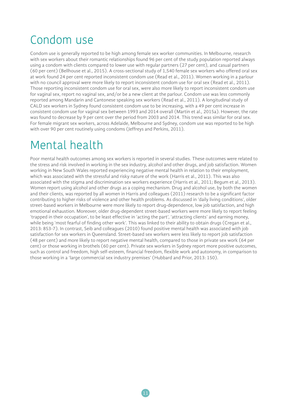### Condom use

Condom use is generally reported to be high among female sex worker communities. In Melbourne, research with sex workers about their romantic relationships found 96 per cent of the study population reported always using a condom with clients compared to lower use with regular partners (27 per cent), and casual partners (60 per cent) (Bellhouse et al., 2015). A cross-sectional study of 1,540 female sex workers who offered oral sex at work found 24 per cent reported inconsistent condom use (Read et al., 2011). Women working in a parlour with no council approval were more likely to report inconsistent condom use for oral sex (Read et al., 2011). Those reporting inconsistent condom use for oral sex, were also more likely to report inconsistent condom use for vaginal sex, report no vaginal sex, and/or be a new client at the parlour. Condom use was less commonly reported among Mandarin and Cantonese speaking sex workers (Read et al., 2011). A longitudinal study of CALD sex workers in Sydney found consistent condom use to be increasing, with a 49 per cent increase in consistent condom use for vaginal sex between 1993 and 2014 overall (Martin et al., 2015a). However, the rate was found to decrease by 9 per cent over the period from 2003 and 2014. This trend was similar for oral sex. For female migrant sex workers, across Adelaide, Melbourne and Sydney, condom use was reported to be high with over 90 per cent routinely using condoms (Jeffreys and Perkins, 2011).

### Mental health

Poor mental health outcomes among sex workers is reported in several studies. These outcomes were related to the stress and risk involved in working in the sex industry, alcohol and other drugs, and job satisfaction. Women working in New South Wales reported experiencing negative mental health in relation to their employment, which was associated with the stressful and risky nature of the work (Harris et al., 2011). This was also associated with the stigma and discrimination sex workers experience (Harris et al., 2011; Begum et al., 2013). Women report using alcohol and other drugs as a coping mechanism. Drug and alcohol use, by both the women and their clients, was reported by all women in Harris and colleagues (2011) research to be a significant factor contributing to higher risks of violence and other health problems. As discussed in 'daily living conditions', older street-based workers in Melbourne were more likely to report drug-dependence, low job satisfaction, and high emotional exhaustion. Moreover, older drug-dependent street-based workers were more likely to report feeling 'trapped in their occupation', to be least effective in 'acting the part', 'attracting clients' and earning money, while being 'most fearful of finding other work'. This was linked to their ability to obtain drugs (Cregan et al., 2013: 853-7). In contrast, Seib and colleagues (2010) found positive mental health was associated with job satisfaction for sex workers in Queensland. Street-based sex workers were less likely to report job satisfaction (48 per cent) and more likely to report negative mental health, compared to those in private sex work (64 per cent) or those working in brothels (60 per cent). Private sex workers in Sydney report more positive outcomes, such as control and freedom, high self-esteem, financial freedom, flexible work and autonomy, in comparison to those working in a 'large commercial sex industry premises' (Hubbard and Prior, 2013: 150).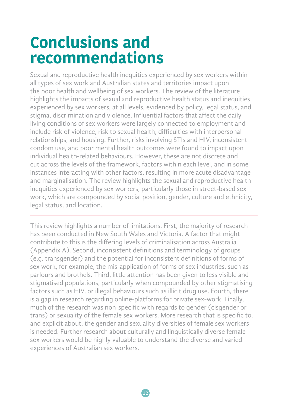## **Conclusions and recommendations**

Sexual and reproductive health inequities experienced by sex workers within all types of sex work and Australian states and territories impact upon the poor health and wellbeing of sex workers. The review of the literature highlights the impacts of sexual and reproductive health status and inequities experienced by sex workers, at all levels, evidenced by policy, legal status, and stigma, discrimination and violence. Influential factors that affect the daily living conditions of sex workers were largely connected to employment and include risk of violence, risk to sexual health, difficulties with interpersonal relationships, and housing. Further, risks involving STIs and HIV, inconsistent condom use, and poor mental health outcomes were found to impact upon individual health-related behaviours. However, these are not discrete and cut across the levels of the framework, factors within each level, and in some instances interacting with other factors, resulting in more acute disadvantage and marginalisation. The review highlights the sexual and reproductive health inequities experienced by sex workers, particularly those in street-based sex work, which are compounded by social position, gender, culture and ethnicity, legal status, and location.

This review highlights a number of limitations. First, the majority of research has been conducted in New South Wales and Victoria. A factor that might contribute to this is the differing levels of criminalisation across Australia (Appendix A). Second, inconsistent definitions and terminology of groups (e.g. transgender) and the potential for inconsistent definitions of forms of sex work, for example, the mis-application of forms of sex industries, such as parlours and brothels. Third, little attention has been given to less visible and stigmatised populations, particularly when compounded by other stigmatising factors such as HIV, or illegal behaviours such as illicit drug use. Fourth, there is a gap in research regarding online-platforms for private sex-work. Finally, much of the research was non-specific with regards to gender (cisgender or trans) or sexuality of the female sex workers. More research that is specific to, and explicit about, the gender and sexuality diversities of female sex workers is needed. Further research about culturally and linguistically diverse female sex workers would be highly valuable to understand the diverse and varied experiences of Australian sex workers.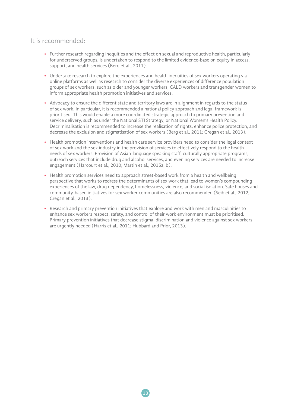#### It is recommended:

- Further research regarding inequities and the effect on sexual and reproductive health, particularly for underserved groups, is undertaken to respond to the limited evidence-base on equity in access, support, and health services (Berg et al., 2011).
- Undertake research to explore the experiences and health inequities of sex workers operating via online platforms as well as research to consider the diverse experiences of difference population groups of sex workers, such as older and younger workers, CALD workers and transgender women to inform appropriate health promotion initiatives and services.
- Advocacy to ensure the different state and territory laws are in alignment in regards to the status of sex work. In particular, it is recommended a national policy approach and legal framework is prioritised. This would enable a more coordinated strategic approach to primary prevention and service delivery, such as under the National STI Strategy, or National Women's Health Policy. Decriminalisation is recommended to increase the realisation of rights, enhance police protection, and decrease the exclusion and stigmatisation of sex workers (Berg et al., 2011; Cregan et al., 2013).
- Health promotion interventions and health care service providers need to consider the legal context of sex work and the sex industry in the provision of services to effectively respond to the health needs of sex workers. Provision of Asian-language speaking staff, culturally appropriate programs, outreach services that include drug and alcohol services, and evening services are needed to increase engagement (Harcourt et al., 2010; Martin et al., 2015a; b).
- Health promotion services need to approach street-based work from a health and wellbeing perspective that works to redress the determinants of sex work that lead to women's compounding experiences of the law, drug dependency, homelessness, violence, and social isolation. Safe houses and community-based initiatives for sex worker communities are also recommended (Seib et al., 2012; Cregan et al., 2013).
- Research and primary prevention initiatives that explore and work with men and masculinities to enhance sex workers respect, safety, and control of their work environment must be prioritised. Primary prevention initiatives that decrease stigma, discrimination and violence against sex workers are urgently needed (Harris et al., 2011; Hubbard and Prior, 2013).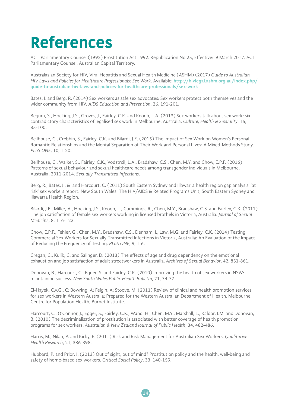# **References**

ACT Parliamentary Counsel (1992) Prostitution Act 1992. Republication No 25, Effective: 9 March 2017. ACT Parliamentary Counsel, Australian Capital Territory.

Australasian Society for HIV, Viral Hepatitis and Sexual Health Medicine (ASHM) (2017) *Guide to Australian HIV Laws and Policies for Healthcare Professionals: Sex Work*. Available: **http://hivlegal.ashm.org.au/index.php/ guide-to-australian-hiv-laws-and-policies-for-healthcare-professionals/sex-work**

Bates, J. and Berg, R. (2014) Sex workers as safe sex advocates: Sex workers protect both themselves and the wider community from HIV. *AIDS Education and Prevention*, 26, 191-201.

Begum, S., Hocking, J.S., Groves, J., Fairley, C.K. and Keogh, L.A. (2013) Sex workers talk about sex work: six contradictory characteristics of legalised sex work in Melbourne, Australia. *Culture, Health & Sexuality*, 15, 85-100.

Bellhouse, C., Crebbin, S., Fairley, C.K. and Bilardi, J.E. (2015) The Impact of Sex Work on Women's Personal Romantic Relationships and the Mental Separation of Their Work and Personal Lives: A Mixed-Methods Study. *PLoS ONE*, 10, 1-20.

Bellhouse, C., Walker, S., Fairley, C.K., Vodstrcil, L.A., Bradshaw, C.S., Chen, M.Y. and Chow, E.P.F. (2016) Patterns of sexual behaviour and sexual healthcare needs among transgender individuals in Melbourne, Australia, 2011-2014. *Sexually Transmitted Infections*.

Berg, R., Bates, J., & and Harcourt, C. (2011) South Eastern Sydney and Illawarra health region gap analysis: 'at risk' sex workers report. New South Wales: The HIV/AIDS & Related Programs Unit, South Eastern Sydney and Illawarra Health Region.

Bilardi, J.E., Miller, A., Hocking, J.S., Keogh, L., Cummings, R., Chen, M.Y., Bradshaw, C.S. and Fairley, C.K. (2011) The job satisfaction of female sex workers working in licensed brothels in Victoria, Australia. *Journal of Sexual Medicine*, 8, 116-122.

Chow, E.P.F., Fehler, G., Chen, M.Y., Bradshaw, C.S., Denham, I., Law, M.G. and Fairley, C.K. (2014) Testing Commercial Sex Workers for Sexually Transmitted Infections in Victoria, Australia: An Evaluation of the Impact of Reducing the Frequency of Testing. *PLoS ONE*, 9, 1-6.

Cregan, C., Kulik, C. and Salinger, D. (2013) The effects of age and drug dependency on the emotional exhaustion and job satisfaction of adult streetworkers in Australia. *Archives of Sexual Behavior*, 42, 851-861.

Donovan, B., Harcourt, C., Egger, S. and Fairley, C.K. (2010) Improving the health of sex workers in NSW: maintaining success. *New South Wales Public Health Bulletin*, 21, 74-77.

El-Hayek, C.v.G., C; Bowring, A; Feigin, A; Stoové, M. (2011) Review of clinical and health promotion services for sex workers in Western Australia: Prepared for the Western Australian Department of Health. Melbourne: Centre for Population Health, Burnet Institute.

Harcourt, C., O'Connor, J., Egger, S., Fairley, C.K., Wand, H., Chen, M.Y., Marshall, L., Kaldor, J.M. and Donovan, B. (2010) The decriminalisation of prostitution is associated with better coverage of health promotion programs for sex workers. *Australian & New Zealand Journal of Public Health*, 34, 482-486.

Harris, M., Nilan, P. and Kirby, E. (2011) Risk and Risk Management for Australian Sex Workers. *Qualitative Health Research*, 21, 386-398.

Hubbard, P. and Prior, J. (2013) Out of sight, out of mind? Prostitution policy and the health, well-being and safety of home-based sex workers. *Critical Social Policy*, 33, 140-159.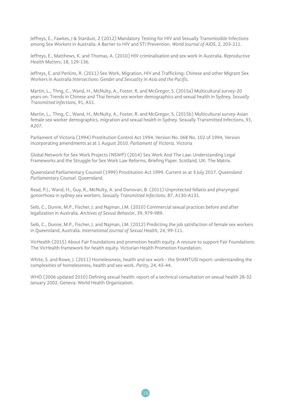Jeffreys, E., Fawkes, J & Stardust, Z (2012) Mandatory Testing for HIV and Sexually Transmissible Infections among Sex Workers in Australia: A Barrier to HIV and STI Prevention. *World Journal of AIDS*, 2, 203-211.

Jeffreys, E., Matthews, K. and Thomas, A. (2010) HIV criminalisation and sex work in Australia. *Reproductive Health Matters*, 18, 129-136.

Jeffreys, E. and Perkins, R. (2011) Sex Work, Migration, HIV and Trafficking: Chinese and other Migrant Sex Workers in Australia *Intersections: Gender and Sexuality in Asia and the Pacific*.

Martin, L., Thng, C., Wand, H., McNulty, A., Foster, R. and McGregor, S. (2015a) Multicultural survey-20 years on: Trends in Chinese and Thai female sex worker demographics and sexual health in Sydney. *Sexually Transmitted Infections,* 91, A51.

Martin, L., Thng, C., Wand, H., McNulty, A., Foster, R. and McGregor, S. (2015b) Multicultural survey-Asian female sex worker demographics, migration and sexual health in Sydney. Sexually Transmitted Infections, 91, A207.

Parliament of Victoria (1994) Prostitution Control Act 1994. Version No. 068 No. 102 of 1994, Version incorporating amendments as at 1 August 2010. *Parliament of Victoria*. Victoria

Global Network for Sex Work Projects (NSWP) (2014) Sex Work And The Law: Understanding Legal Frameworks and the Struggle for Sex Work Law Reforms, Briefing Paper. Scotland, UK: The Matrix.

Queensland Parliamentary Counsel (1999) Prostitution Act 1999. Current as at 3 July 2017. *Queensland Parliamentary Counsel.* Queensland.

Read, P.J., Wand, H., Guy, R., McNulty, A. and Donovan, B. (2011) Unprotected fellatio and pharyngeal gonorrhoea in sydney sex workers. *Sexually Transmitted Infections*, 87, A130-A131.

Seib, C., Dunne, M.P., Fischer, J. and Najman, J.M. (2010) Commercial sexual practices before and after legalization in Australia. *Archives of Sexual Behavior*, 39, 979-989.

Seib, C., Dunne, M.P., Fischer, J. and Najman, J.M. (2012) Predicting the job satisfaction of female sex workers in Queensland, Australia. *International Journal of Sexual Health*, 24, 99-111.

VicHealth (2015) About Fair Foundations and promotion health equity. A resoure to support Fair Foundations: The VicHealth framework for health equity. Victorian Health Promotion Foundation.

White, S. and Rowe, J. (2011) Homelessness, health and sex work - the SHANTUSI report: understanding the complexities of homelessness, health and sex work. *Parity*, 24, 43-44.

WHO (2006 updated 2010) Defining sexual health: report of a technical consultation on sexual health 28-32 January 2002. Geneva: World Health Organization.